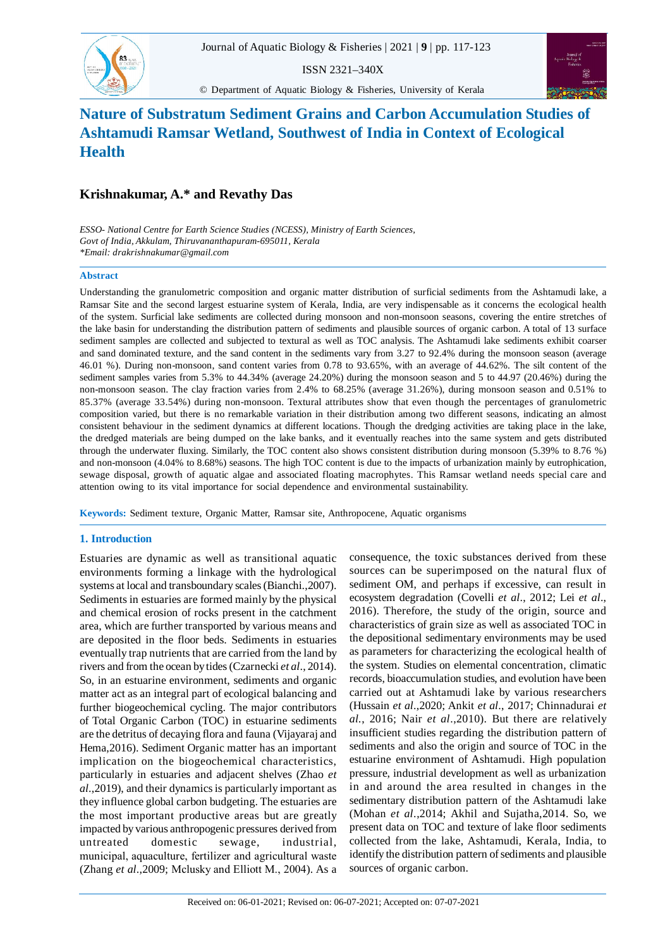

ISSN 2321–340X

© Department of Aquatic Biology & Fisheries, University of Kerala



# **Nature of Substratum Sediment Grains and Carbon Accumulation Studies of Ashtamudi Ramsar Wetland, Southwest of India in Context of Ecological Health**

## **Krishnakumar, A.\* and Revathy Das**

*ESSO- National Centre for Earth Science Studies (NCESS), Ministry of Earth Sciences, Govt of India, Akkulam, Thiruvananthapuram-695011, Kerala \*Email: drakrishnakumar@gmail.com*

## **Abstract**

Understanding the granulometric composition and organic matter distribution of surficial sediments from the Ashtamudi lake, a Ramsar Site and the second largest estuarine system of Kerala, India, are very indispensable as it concerns the ecological health of the system. Surficial lake sediments are collected during monsoon and non-monsoon seasons, covering the entire stretches of the lake basin for understanding the distribution pattern of sediments and plausible sources of organic carbon. A total of 13 surface sediment samples are collected and subjected to textural as well as TOC analysis. The Ashtamudi lake sediments exhibit coarser and sand dominated texture, and the sand content in the sediments vary from 3.27 to 92.4% during the monsoon season (average 46.01 %). During non-monsoon, sand content varies from 0.78 to 93.65%, with an average of 44.62%. The silt content of the sediment samples varies from 5.3% to 44.34% (average 24.20%) during the monsoon season and 5 to 44.97 (20.46%) during the non-monsoon season. The clay fraction varies from 2.4% to 68.25% (average 31.26%), during monsoon season and 0.51% to 85.37% (average 33.54%) during non-monsoon. Textural attributes show that even though the percentages of granulometric composition varied, but there is no remarkable variation in their distribution among two different seasons, indicating an almost consistent behaviour in the sediment dynamics at different locations. Though the dredging activities are taking place in the lake, the dredged materials are being dumped on the lake banks, and it eventually reaches into the same system and gets distributed through the underwater fluxing. Similarly, the TOC content also shows consistent distribution during monsoon (5.39% to 8.76 %) and non-monsoon (4.04% to 8.68%) seasons. The high TOC content is due to the impacts of urbanization mainly by eutrophication, sewage disposal, growth of aquatic algae and associated floating macrophytes. This Ramsar wetland needs special care and attention owing to its vital importance for social dependence and environmental sustainability.

**Keywords:** Sediment texture, Organic Matter, Ramsar site, Anthropocene, Aquatic organisms

## **1. Introduction**

Estuaries are dynamic as well as transitional aquatic environments forming a linkage with the hydrological systems at local and transboundary scales (Bianchi.,2007). Sediments in estuaries are formed mainly by the physical and chemical erosion of rocks present in the catchment area, which are further transported by various means and are deposited in the floor beds. Sediments in estuaries eventually trap nutrients that are carried from the land by rivers and from the ocean by tides (Czarnecki *et al*., 2014). So, in an estuarine environment, sediments and organic matter act as an integral part of ecological balancing and further biogeochemical cycling. The major contributors of Total Organic Carbon (TOC) in estuarine sediments are the detritus of decaying flora and fauna (Vijayaraj and Hema,2016). Sediment Organic matter has an important implication on the biogeochemical characteristics, particularly in estuaries and adjacent shelves (Zhao *et al*.,2019), and their dynamics is particularly important as they influence global carbon budgeting. The estuaries are the most important productive areas but are greatly impacted by various anthropogenic pressures derived from untreated domestic sewage, industrial, municipal, aquaculture, fertilizer and agricultural waste (Zhang *et al*.,2009; Mclusky and Elliott M., 2004). As a

consequence, the toxic substances derived from these sources can be superimposed on the natural flux of sediment OM, and perhaps if excessive, can result in ecosystem degradation (Covelli *et al*., 2012; Lei *et al*., 2016). Therefore, the study of the origin, source and characteristics of grain size as well as associated TOC in the depositional sedimentary environments may be used as parameters for characterizing the ecological health of the system. Studies on elemental concentration, climatic records, bioaccumulation studies, and evolution have been carried out at Ashtamudi lake by various researchers (Hussain *et al*.,2020; Ankit *et al*., 2017; Chinnadurai *et al.*, 2016; Nair *et al*.,2010). But there are relatively insufficient studies regarding the distribution pattern of sediments and also the origin and source of TOC in the estuarine environment of Ashtamudi. High population pressure, industrial development as well as urbanization in and around the area resulted in changes in the sedimentary distribution pattern of the Ashtamudi lake (Mohan *et al*.,2014; Akhil and Sujatha,2014. So, we present data on TOC and texture of lake floor sediments collected from the lake, Ashtamudi, Kerala, India, to identify the distribution pattern of sediments and plausible sources of organic carbon.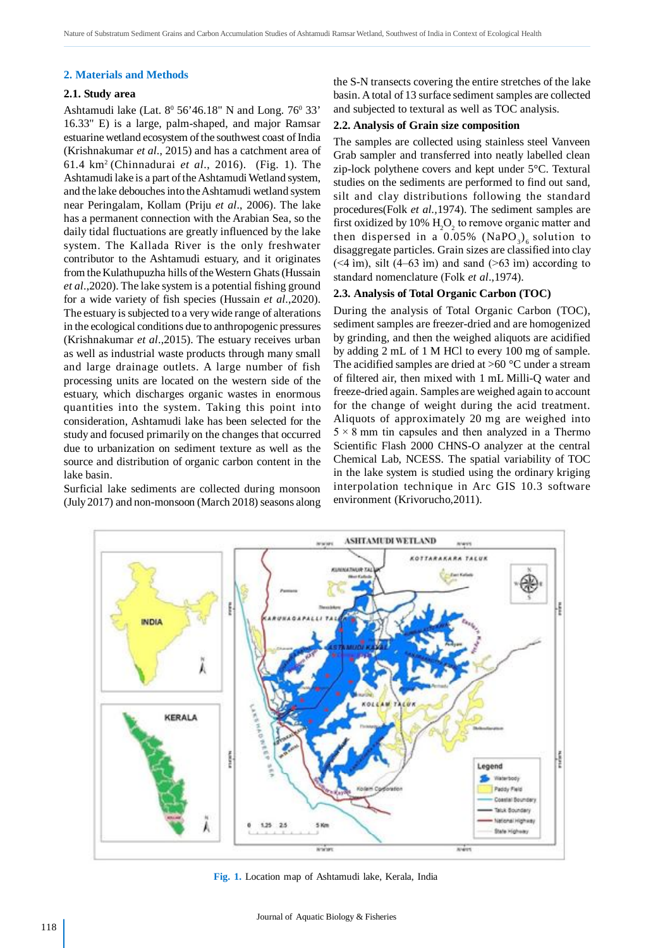#### **2. Materials and Methods**

## **2.1. Study area**

Ashtamudi lake (Lat.  $8^{\circ}$  56'46.18" N and Long. 76 $^{\circ}$  33' 16.33" E) is a large, palm-shaped, and major Ramsar estuarine wetland ecosystem of the southwest coast of India (Krishnakumar *et al*., 2015) and has a catchment area of 61.4 km<sup>2</sup>(Chinnadurai *et al*., 2016). (Fig. 1). The Ashtamudi lake is a part of the Ashtamudi Wetland system, and the lake debouches into the Ashtamudi wetland system near Peringalam, Kollam (Priju *et al*., 2006). The lake has a permanent connection with the Arabian Sea, so the daily tidal fluctuations are greatly influenced by the lake system. The Kallada River is the only freshwater contributor to the Ashtamudi estuary, and it originates from the Kulathupuzha hills of the Western Ghats (Hussain *et al*.,2020). The lake system is a potential fishing ground for a wide variety of fish species (Hussain *et al*.,2020). The estuary is subjected to a very wide range of alterations in the ecological conditions due to anthropogenic pressures (Krishnakumar *et al*.,2015). The estuary receives urban as well as industrial waste products through many small and large drainage outlets. A large number of fish processing units are located on the western side of the estuary, which discharges organic wastes in enormous quantities into the system. Taking this point into consideration, Ashtamudi lake has been selected for the study and focused primarily on the changes that occurred due to urbanization on sediment texture as well as the source and distribution of organic carbon content in the lake basin.

Surficial lake sediments are collected during monsoon (July 2017) and non-monsoon (March 2018) seasons along the S-N transects covering the entire stretches of the lake basin. A total of 13 surface sediment samples are collected and subjected to textural as well as TOC analysis.

## **2.2. Analysis of Grain size composition**

The samples are collected using stainless steel Vanveen Grab sampler and transferred into neatly labelled clean zip-lock polythene covers and kept under 5°C. Textural studies on the sediments are performed to find out sand, silt and clay distributions following the standard procedures(Folk *et al.,*1974). The sediment samples are first oxidized by 10%  $\rm H_2O_2$  to remove organic matter and then dispersed in a  $0.05\%$  (NaPO<sub>3</sub>)<sub>6</sub> solution to disaggregate particles. Grain sizes are classified into clay  $(\leq 4 \text{ im})$ , silt  $(4-63 \text{ im})$  and sand  $(>63 \text{ im})$  according to standard nomenclature (Folk *et al*.,1974).

## **2.3. Analysis of Total Organic Carbon (TOC)**

During the analysis of Total Organic Carbon (TOC), sediment samples are freezer-dried and are homogenized by grinding, and then the weighed aliquots are acidified by adding 2 mL of 1 M HCl to every 100 mg of sample. The acidified samples are dried at  ${>}60\,^{\circ}\mathrm{C}$  under a stream of filtered air, then mixed with 1 mL Milli-Q water and freeze-dried again. Samples are weighed again to account for the change of weight during the acid treatment. Aliquots of approximately 20 mg are weighed into  $5 \times 8$  mm tin capsules and then analyzed in a Thermo Scientific Flash 2000 CHNS-O analyzer at the central Chemical Lab, NCESS. The spatial variability of TOC in the lake system is studied using the ordinary kriging interpolation technique in Arc GIS 10.3 software environment (Krivorucho,2011).



**Fig. 1.** Location map of Ashtamudi lake, Kerala, India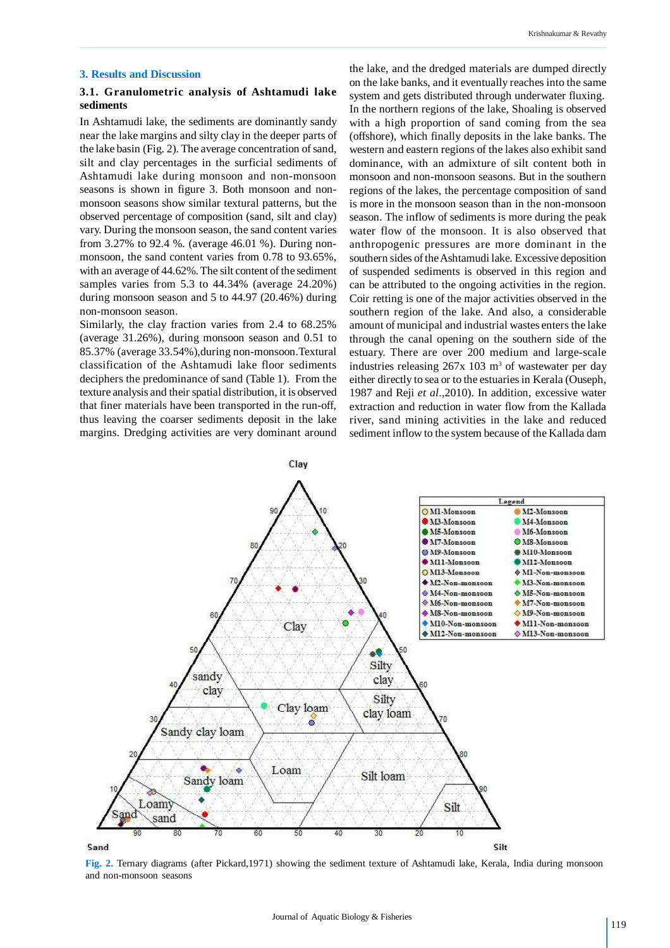#### Krishnakumar & Revathy

#### **3. Results and Discussion**

## **3.1. Granulometric analysis of Ashtamudi lake sediments**

In Ashtamudi lake, the sediments are dominantly sandy near the lake margins and silty clay in the deeper parts of the lake basin (Fig. 2). The average concentration of sand, silt and clay percentages in the surficial sediments of Ashtamudi lake during monsoon and non-monsoon seasons is shown in figure 3. Both monsoon and nonmonsoon seasons show similar textural patterns, but the observed percentage of composition (sand, silt and clay) vary. During the monsoon season, the sand content varies from 3.27% to 92.4 %. (average 46.01 %). During nonmonsoon, the sand content varies from 0.78 to 93.65%, with an average of 44.62%. The silt content of the sediment samples varies from 5.3 to 44.34% (average 24.20%) during monsoon season and 5 to 44.97 (20.46%) during non-monsoon season.

Similarly, the clay fraction varies from 2.4 to 68.25% (average 31.26%), during monsoon season and 0.51 to 85.37% (average 33.54%),during non-monsoon.Textural classification of the Ashtamudi lake floor sediments deciphers the predominance of sand (Table 1). From the texture analysis and their spatial distribution, it is observed that finer materials have been transported in the run-off, thus leaving the coarser sediments deposit in the lake margins. Dredging activities are very dominant around the lake, and the dredged materials are dumped directly on the lake banks, and it eventually reaches into the same system and gets distributed through underwater fluxing. In the northern regions of the lake, Shoaling is observed with a high proportion of sand coming from the sea (offshore), which finally deposits in the lake banks. The western and eastern regions of the lakes also exhibit sand dominance, with an admixture of silt content both in monsoon and non-monsoon seasons. But in the southern regions of the lakes, the percentage composition of sand is more in the monsoon season than in the non-monsoon season. The inflow of sediments is more during the peak water flow of the monsoon. It is also observed that anthropogenic pressures are more dominant in the southern sides of the Ashtamudi lake. Excessive deposition of suspended sediments is observed in this region and can be attributed to the ongoing activities in the region. Coir retting is one of the major activities observed in the southern region of the lake. And also, a considerable amount of municipal and industrial wastes enters the lake through the canal opening on the southern side of the estuary. There are over 200 medium and large-scale industries releasing  $267x$  103 m<sup>3</sup> of wastewater per day either directly to sea or to the estuaries in Kerala (Ouseph, 1987 and Reji *et al*.,2010). In addition, excessive water extraction and reduction in water flow from the Kallada river, sand mining activities in the lake and reduced sediment inflow to the system because of the Kallada dam



**Fig. 2.** Ternary diagrams (after Pickard,1971) showing the sediment texture of Ashtamudi lake, Kerala, India during monsoon and non-monsoon seasons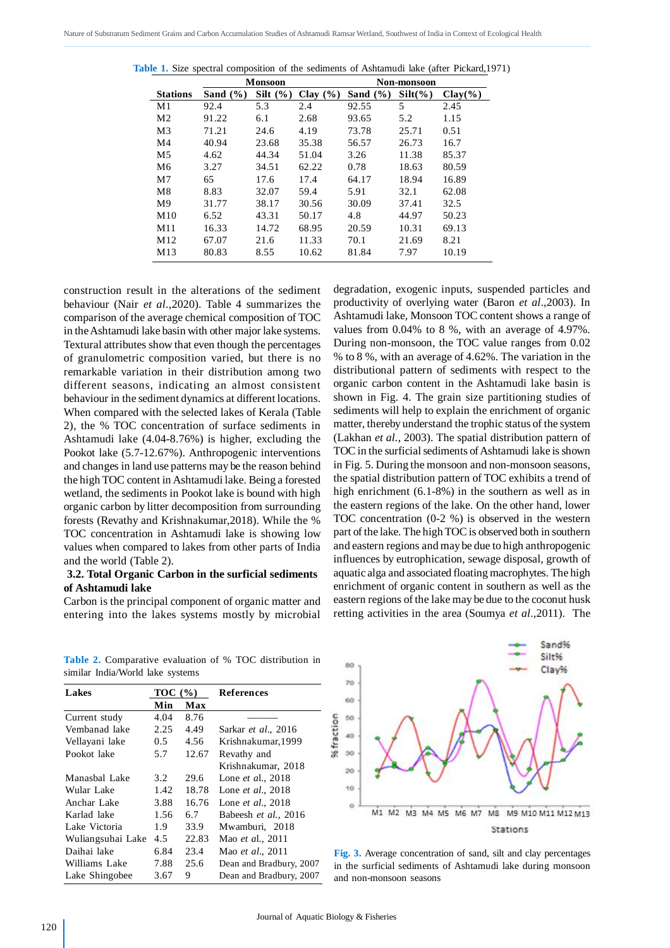|                 | <b>Monsoon</b> |              |              | Non-monsoon  |            |            |
|-----------------|----------------|--------------|--------------|--------------|------------|------------|
| <b>Stations</b> | Sand $(\% )$   | Silt $(\% )$ | Clay $(\% )$ | Sand $(\% )$ | $Silt(\%)$ | $Clay(\%)$ |
| M <sub>1</sub>  | 92.4           | 5.3          | 2.4          | 92.55        | 5          | 2.45       |
| M <sub>2</sub>  | 91.22          | 6.1          | 2.68         | 93.65        | 5.2        | 1.15       |
| M <sub>3</sub>  | 71.21          | 24.6         | 4.19         | 73.78        | 25.71      | 0.51       |
| M4              | 40.94          | 23.68        | 35.38        | 56.57        | 26.73      | 16.7       |
| M <sub>5</sub>  | 4.62           | 44.34        | 51.04        | 3.26         | 11.38      | 85.37      |
| M <sub>6</sub>  | 3.27           | 34.51        | 62.22        | 0.78         | 18.63      | 80.59      |
| M <sub>7</sub>  | 65             | 17.6         | 17.4         | 64.17        | 18.94      | 16.89      |
| M8              | 8.83           | 32.07        | 59.4         | 5.91         | 32.1       | 62.08      |
| M <sup>9</sup>  | 31.77          | 38.17        | 30.56        | 30.09        | 37.41      | 32.5       |
| M10             | 6.52           | 43.31        | 50.17        | 4.8          | 44.97      | 50.23      |
| M11             | 16.33          | 14.72        | 68.95        | 20.59        | 10.31      | 69.13      |
| M12             | 67.07          | 21.6         | 11.33        | 70.1         | 21.69      | 8.21       |
| M13             | 80.83          | 8.55         | 10.62        | 81.84        | 7.97       | 10.19      |

**Table 1.** Size spectral composition of the sediments of Ashtamudi lake (after Pickard,1971)

construction result in the alterations of the sediment behaviour (Nair *et al*.,2020). Table 4 summarizes the comparison of the average chemical composition of TOC in the Ashtamudi lake basin with other major lake systems. Textural attributes show that even though the percentages of granulometric composition varied, but there is no remarkable variation in their distribution among two different seasons, indicating an almost consistent behaviour in the sediment dynamics at different locations. When compared with the selected lakes of Kerala (Table 2), the % TOC concentration of surface sediments in Ashtamudi lake (4.04-8.76%) is higher, excluding the Pookot lake (5.7-12.67%). Anthropogenic interventions and changes in land use patterns may be the reason behind the high TOC content in Ashtamudi lake. Being a forested wetland, the sediments in Pookot lake is bound with high organic carbon by litter decomposition from surrounding forests (Revathy and Krishnakumar,2018). While the % TOC concentration in Ashtamudi lake is showing low values when compared to lakes from other parts of India and the world (Table 2).

## **3.2. Total Organic Carbon in the surficial sediments of Ashtamudi lake**

Carbon is the principal component of organic matter and entering into the lakes systems mostly by microbial degradation, exogenic inputs, suspended particles and productivity of overlying water (Baron *et al*.,2003). In Ashtamudi lake, Monsoon TOC content shows a range of values from 0.04% to 8 %, with an average of 4.97%. During non-monsoon, the TOC value ranges from 0.02 % to 8 %, with an average of 4.62%. The variation in the distributional pattern of sediments with respect to the organic carbon content in the Ashtamudi lake basin is shown in Fig. 4. The grain size partitioning studies of sediments will help to explain the enrichment of organic matter, thereby understand the trophic status of the system (Lakhan *et al.*, 2003). The spatial distribution pattern of TOC in the surficial sediments of Ashtamudi lake is shown in Fig. 5. During the monsoon and non-monsoon seasons, the spatial distribution pattern of TOC exhibits a trend of high enrichment (6.1-8%) in the southern as well as in the eastern regions of the lake. On the other hand, lower TOC concentration (0-2 %) is observed in the western part of the lake. The high TOC is observed both in southern and eastern regions and may be due to high anthropogenic influences by eutrophication, sewage disposal, growth of aquatic alga and associated floating macrophytes. The high enrichment of organic content in southern as well as the eastern regions of the lake may be due to the coconut husk retting activities in the area (Soumya *et al*.,2011). The

**Table 2.** Comparative evaluation of % TOC distribution in similar India/World lake systems

| Lakes             | TOC (%)       |       | References               |  |
|-------------------|---------------|-------|--------------------------|--|
|                   | Min           | Max   |                          |  |
| Current study     | 4.04          | 8.76  |                          |  |
| Vembanad lake     | 2.25          | 4.49  | Sarkar et al., 2016      |  |
| Vellayani lake    | $0.5^{\circ}$ | 4.56  | Krishnakumar.1999        |  |
| Pookot lake       | 5.7           | 12.67 | Revathy and              |  |
|                   |               |       | Krishnakumar. 2018       |  |
| Manasbal Lake     | 3.2           | 29.6  | Lone et al., 2018        |  |
| Wular Lake        | 1.42          | 18.78 | Lone et al., 2018        |  |
| Anchar Lake       | 3.88          | 16.76 | Lone et al., 2018        |  |
| Karlad lake       | 1.56          | 6.7   | Babeesh et al., 2016     |  |
| Lake Victoria     | 1.9           | 33.9  | Mwamburi, 2018           |  |
| Wuliangsuhai Lake | 4.5           | 22.83 | Mao et al., 2011         |  |
| Daihai lake       | 6.84          | 23.4  | Mao <i>et al.</i> , 2011 |  |
| Williams Lake     | 7.88          | 25.6  | Dean and Bradbury, 2007  |  |
| Lake Shingobee    | 3.67          | 9     | Dean and Bradbury, 2007  |  |



**Fig. 3.** Average concentration of sand, silt and clay percentages in the surficial sediments of Ashtamudi lake during monsoon and non-monsoon seasons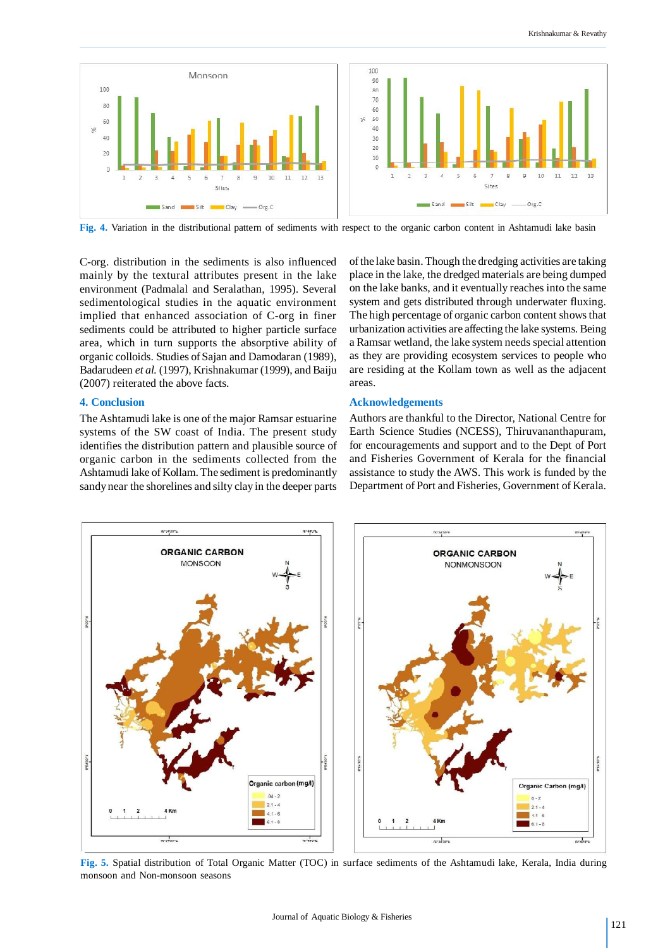

**Fig. 4.** Variation in the distributional pattern of sediments with respect to the organic carbon content in Ashtamudi lake basin

C-org. distribution in the sediments is also influenced mainly by the textural attributes present in the lake environment (Padmalal and Seralathan, 1995). Several sedimentological studies in the aquatic environment implied that enhanced association of C-org in finer sediments could be attributed to higher particle surface area, which in turn supports the absorptive ability of organic colloids. Studies of Sajan and Damodaran (1989), Badarudeen *et al.* (1997), Krishnakumar (1999), and Baiju (2007) reiterated the above facts.

## **4. Conclusion**

The Ashtamudi lake is one of the major Ramsar estuarine systems of the SW coast of India. The present study identifies the distribution pattern and plausible source of organic carbon in the sediments collected from the Ashtamudi lake of Kollam. The sediment is predominantly sandy near the shorelines and silty clay in the deeper parts

of the lake basin. Though the dredging activities are taking place in the lake, the dredged materials are being dumped on the lake banks, and it eventually reaches into the same system and gets distributed through underwater fluxing. The high percentage of organic carbon content shows that urbanization activities are affecting the lake systems. Being a Ramsar wetland, the lake system needs special attention as they are providing ecosystem services to people who are residing at the Kollam town as well as the adjacent areas.

### **Acknowledgements**

Authors are thankful to the Director, National Centre for Earth Science Studies (NCESS), Thiruvananthapuram, for encouragements and support and to the Dept of Port and Fisheries Government of Kerala for the financial assistance to study the AWS. This work is funded by the Department of Port and Fisheries, Government of Kerala.



**Fig. 5.** Spatial distribution of Total Organic Matter (TOC) in surface sediments of the Ashtamudi lake, Kerala, India during monsoon and Non-monsoon seasons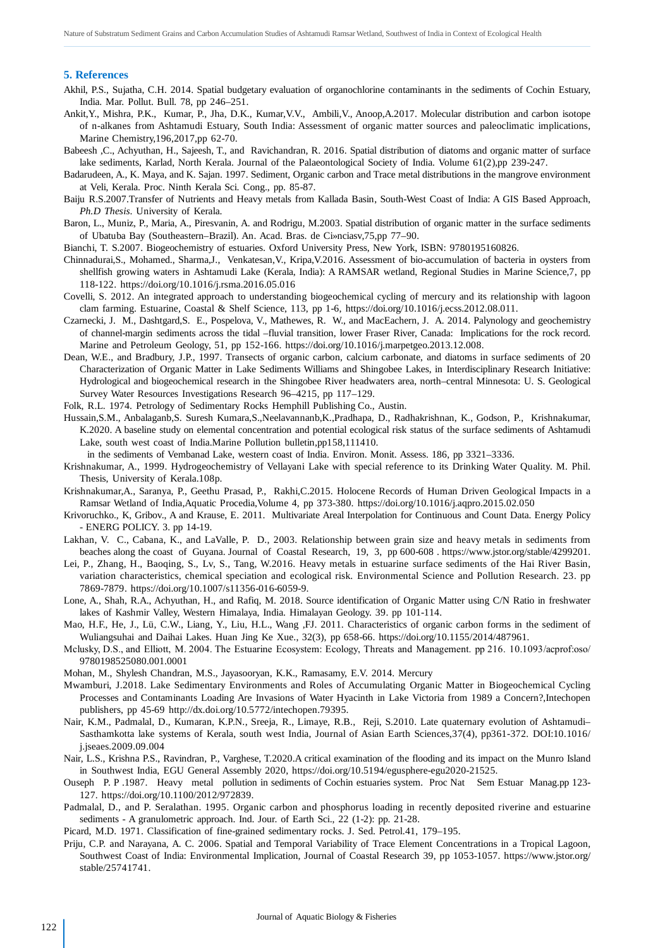#### **5. References**

- Akhil, P.S., Sujatha, C.H. 2014. Spatial budgetary evaluation of organochlorine contaminants in the sediments of Cochin Estuary, India. Mar. Pollut. Bull. 78, pp 246–251.
- Ankit,Y., Mishra, P.K., Kumar, P., Jha, D.K., Kumar,V.V., Ambili,V., Anoop,A.2017. Molecular distribution and carbon isotope of n-alkanes from Ashtamudi Estuary, South India: Assessment of organic matter sources and paleoclimatic implications, Marine Chemistry,196,2017,pp 62-70.
- Babeesh ,C., Achyuthan, H., Sajeesh, T., and Ravichandran, R. 2016. Spatial distribution of diatoms and organic matter of surface lake sediments, Karlad, North Kerala. Journal of the Palaeontological Society of India. Volume 61(2),pp 239-247.
- Badarudeen, A., K. Maya, and K. Sajan. 1997. Sediment, Organic carbon and Trace metal distributions in the mangrove environment at Veli, Kerala. Proc. Ninth Kerala Sci. Cong., pp. 85-87.
- Baiju R.S.2007.Transfer of Nutrients and Heavy metals from Kallada Basin, South-West Coast of India: A GIS Based Approach, *Ph.D Thesis*. University of Kerala.
- Baron, L., Muniz, P., Maria, A., Piresvanin, A. and Rodrigu, M.2003. Spatial distribution of organic matter in the surface sediments of Ubatuba Bay (Southeastern–Brazil). An. Acad. Bras. de Ci»nciasv,75,pp 77–90.

Bianchi, T. S.2007. Biogeochemistry of estuaries. Oxford University Press, New York, ISBN: 9780195160826.

- Chinnadurai,S., Mohamed., Sharma,J., Venkatesan,V., Kripa,V.2016. Assessment of bio-accumulation of bacteria in oysters from shellfish growing waters in Ashtamudi Lake (Kerala, India): A RAMSAR wetland, Regional Studies in Marine Science,7, pp 118-122. https://doi.org/10.1016/j.rsma.2016.05.016
- Covelli, S. 2012. An integrated approach to understanding biogeochemical cycling of mercury and its relationship with lagoon clam farming. Estuarine, Coastal & Shelf Science, 113, pp 1-6, https://doi.org/10.1016/j.ecss.2012.08.011.
- Czarnecki, J. M., Dashtgard,S. E., Pospelova, V., Mathewes, R. W., and MacEachern, J. A. 2014. Palynology and geochemistry of channel-margin sediments across the tidal –fluvial transition, lower Fraser River, Canada: Implications for the rock record. Marine and Petroleum Geology, 51, pp 152-166. https://doi.org/10.1016/j.marpetgeo.2013.12.008.
- Dean, W.E., and Bradbury, J.P., 1997. Transects of organic carbon, calcium carbonate, and diatoms in surface sediments of 20 Characterization of Organic Matter in Lake Sediments Williams and Shingobee Lakes, in Interdisciplinary Research Initiative: Hydrological and biogeochemical research in the Shingobee River headwaters area, north–central Minnesota: U. S. Geological Survey Water Resources Investigations Research 96–4215, pp 117–129.
- Folk, R.L. 1974. Petrology of Sedimentary Rocks Hemphill Publishing Co., Austin.
- Hussain,S.M., Anbalaganb,S. Suresh Kumara,S.,Neelavannanb,K.,Pradhapa, D., Radhakrishnan, K., Godson, P., Krishnakumar, K.2020. A baseline study on elemental concentration and potential ecological risk status of the surface sediments of Ashtamudi Lake, south west coast of India.Marine Pollution bulletin,pp158,111410.

in the sediments of Vembanad Lake, western coast of India. Environ. Monit. Assess. 186, pp 3321–3336.

- Krishnakumar, A., 1999. Hydrogeochemistry of Vellayani Lake with special reference to its Drinking Water Quality. M. Phil. Thesis, University of Kerala.108p.
- Krishnakumar,A., Saranya, P., Geethu Prasad, P., Rakhi,C.2015. Holocene Records of Human Driven Geological Impacts in a Ramsar Wetland of India,Aquatic Procedia,Volume 4, pp 373-380. https://doi.org/10.1016/j.aqpro.2015.02.050
- Krivoruchko., K, Gribov., A and Krause, E. 2011. Multivariate Areal Interpolation for Continuous and Count Data. Energy Policy - ENERG POLICY. 3. pp 14-19.
- Lakhan, V. C., Cabana, K., and LaValle, P. D., 2003. Relationship between grain size and heavy metals in sediments from beaches along the coast of Guyana. Journal of Coastal Research, 19, 3, pp 600-608 . https://www.jstor.org/stable/4299201.
- Lei, P., Zhang, H., Baoqing, S., Lv, S., Tang, W.2016. Heavy metals in estuarine surface sediments of the Hai River Basin, variation characteristics, chemical speciation and ecological risk. Environmental Science and Pollution Research. 23. pp 7869-7879. https://doi.org/10.1007/s11356-016-6059-9.
- Lone, A., Shah, R.A., Achyuthan, H., and Rafiq, M. 2018. Source identification of Organic Matter using C/N Ratio in freshwater lakes of Kashmir Valley, Western Himalaya, India. Himalayan Geology. 39. pp 101-114.
- Mao, H.F., He, J., Lü, C.W., Liang, Y., Liu, H.L., Wang ,FJ. 2011. Characteristics of organic carbon forms in the sediment of Wuliangsuhai and Daihai Lakes. Huan Jing Ke Xue., 32(3), pp 658-66. https://doi.org/10.1155/2014/487961.
- Mclusky, D.S., and Elliott, M. 2004. The Estuarine Ecosystem: Ecology, Threats and Management. pp 216. 10.1093/acprof:oso/ 9780198525080.001.0001
- Mohan, M., Shylesh Chandran, M.S., Jayasooryan, K.K., Ramasamy, E.V. 2014. Mercury
- Mwamburi, J.2018. Lake Sedimentary Environments and Roles of Accumulating Organic Matter in Biogeochemical Cycling Processes and Contaminants Loading Are Invasions of Water Hyacinth in Lake Victoria from 1989 a Concern?,Intechopen publishers, pp 45-69 http://dx.doi.org/10.5772/intechopen.79395.
- Nair, K.M., Padmalal, D., Kumaran, K.P.N., Sreeja, R., Limaye, R.B., Reji, S.2010. Late quaternary evolution of Ashtamudi– Sasthamkotta lake systems of Kerala, south west India, Journal of Asian Earth Sciences,37(4), pp361-372. DOI:10.1016/ j.jseaes.2009.09.004
- Nair, L.S., Krishna P.S., Ravindran, P., Varghese, T.2020.A critical examination of the flooding and its impact on the Munro Island in Southwest India, EGU General Assembly 2020, https://doi.org/10.5194/egusphere-egu2020-21525.
- Ouseph P. P .1987. Heavy metal pollution in sediments of Cochin estuaries system. Proc Nat Sem Estuar Manag.pp 123- 127. https://doi.org/10.1100/2012/972839.
- Padmalal, D., and P. Seralathan. 1995. Organic carbon and phosphorus loading in recently deposited riverine and estuarine sediments - A granulometric approach. Ind. Jour. of Earth Sci., 22 (1-2): pp. 21-28.
- Picard, M.D. 1971. Classification of fine-grained sedimentary rocks. J. Sed. Petrol.41, 179–195.
- Priju, C.P. and Narayana, A. C. 2006. Spatial and Temporal Variability of Trace Element Concentrations in a Tropical Lagoon, Southwest Coast of India: Environmental Implication, Journal of Coastal Research 39, pp 1053-1057. https://www.jstor.org/ stable/25741741.